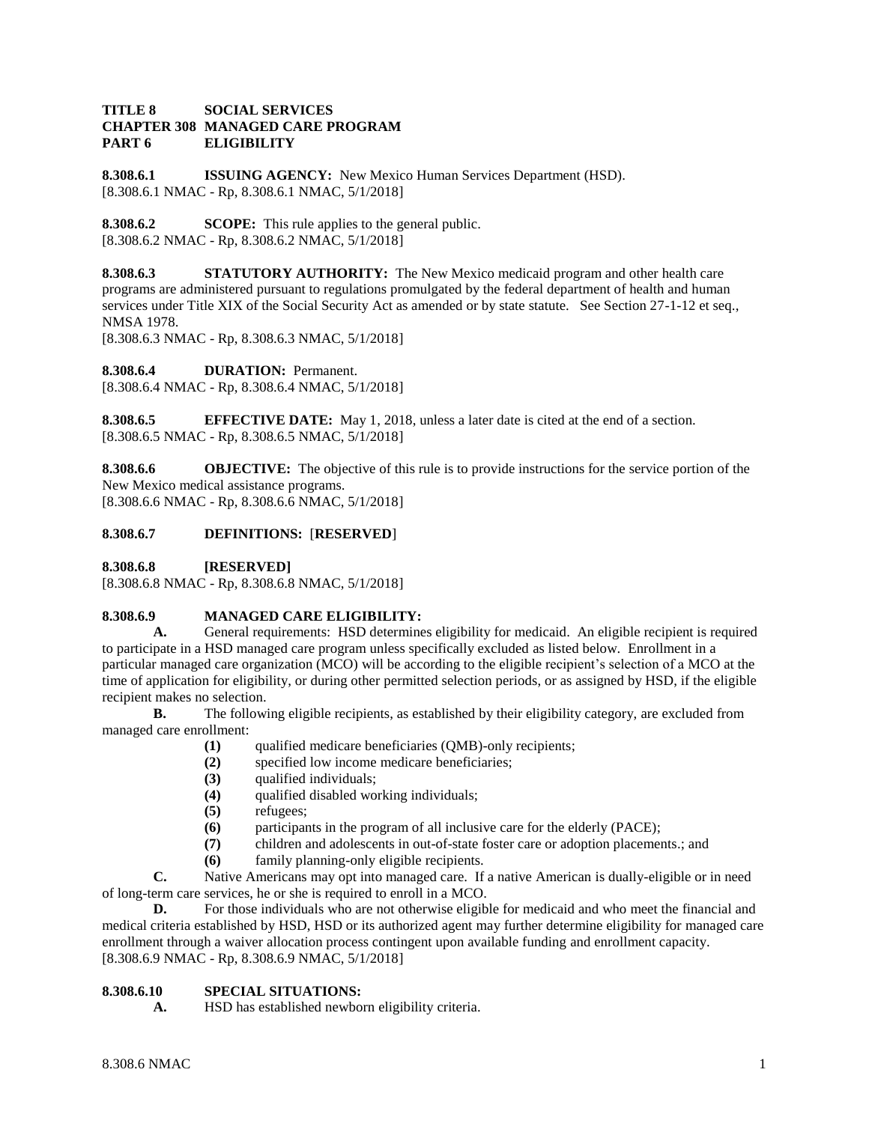## **TITLE 8 SOCIAL SERVICES CHAPTER 308 MANAGED CARE PROGRAM PART 6 ELIGIBILITY**

**8.308.6.1 ISSUING AGENCY:** New Mexico Human Services Department (HSD). [8.308.6.1 NMAC - Rp, 8.308.6.1 NMAC, 5/1/2018]

**8.308.6.2 SCOPE:** This rule applies to the general public. [8.308.6.2 NMAC - Rp, 8.308.6.2 NMAC, 5/1/2018]

**8.308.6.3 STATUTORY AUTHORITY:** The New Mexico medicaid program and other health care programs are administered pursuant to regulations promulgated by the federal department of health and human services under Title XIX of the Social Security Act as amended or by state statute. See Section 27-1-12 et seq., NMSA 1978.

[8.308.6.3 NMAC - Rp, 8.308.6.3 NMAC, 5/1/2018]

**8.308.6.4 DURATION:** Permanent.

[8.308.6.4 NMAC - Rp, 8.308.6.4 NMAC, 5/1/2018]

**8.308.6.5 EFFECTIVE DATE:** May 1, 2018, unless a later date is cited at the end of a section. [8.308.6.5 NMAC - Rp, 8.308.6.5 NMAC, 5/1/2018]

**8.308.6.6 OBJECTIVE:** The objective of this rule is to provide instructions for the service portion of the New Mexico medical assistance programs. [8.308.6.6 NMAC - Rp, 8.308.6.6 NMAC, 5/1/2018]

# **8.308.6.7 DEFINITIONS:** [**RESERVED**]

**8.308.6.8 [RESERVED]**

[8.308.6.8 NMAC - Rp, 8.308.6.8 NMAC, 5/1/2018]

## **8.308.6.9 MANAGED CARE ELIGIBILITY:**

**A.** General requirements: HSD determines eligibility for medicaid. An eligible recipient is required to participate in a HSD managed care program unless specifically excluded as listed below. Enrollment in a particular managed care organization (MCO) will be according to the eligible recipient's selection of a MCO at the time of application for eligibility, or during other permitted selection periods, or as assigned by HSD, if the eligible recipient makes no selection.

**B.** The following eligible recipients, as established by their eligibility category, are excluded from managed care enrollment:

- **(1)** qualified medicare beneficiaries (QMB)-only recipients;
- **(2)** specified low income medicare beneficiaries;
- **(3)** qualified individuals;
- **(4)** qualified disabled working individuals;
- **(5)** refugees;
- **(6)** participants in the program of all inclusive care for the elderly (PACE);
- **(7)** children and adolescents in out-of-state foster care or adoption placements.; and
- **(6)** family planning-only eligible recipients.

**C.** Native Americans may opt into managed care. If a native American is dually-eligible or in need of long-term care services, he or she is required to enroll in a MCO.

**D.** For those individuals who are not otherwise eligible for medicaid and who meet the financial and medical criteria established by HSD, HSD or its authorized agent may further determine eligibility for managed care enrollment through a waiver allocation process contingent upon available funding and enrollment capacity. [8.308.6.9 NMAC - Rp, 8.308.6.9 NMAC, 5/1/2018]

## **8.308.6.10 SPECIAL SITUATIONS:**

**A.** HSD has established newborn eligibility criteria.